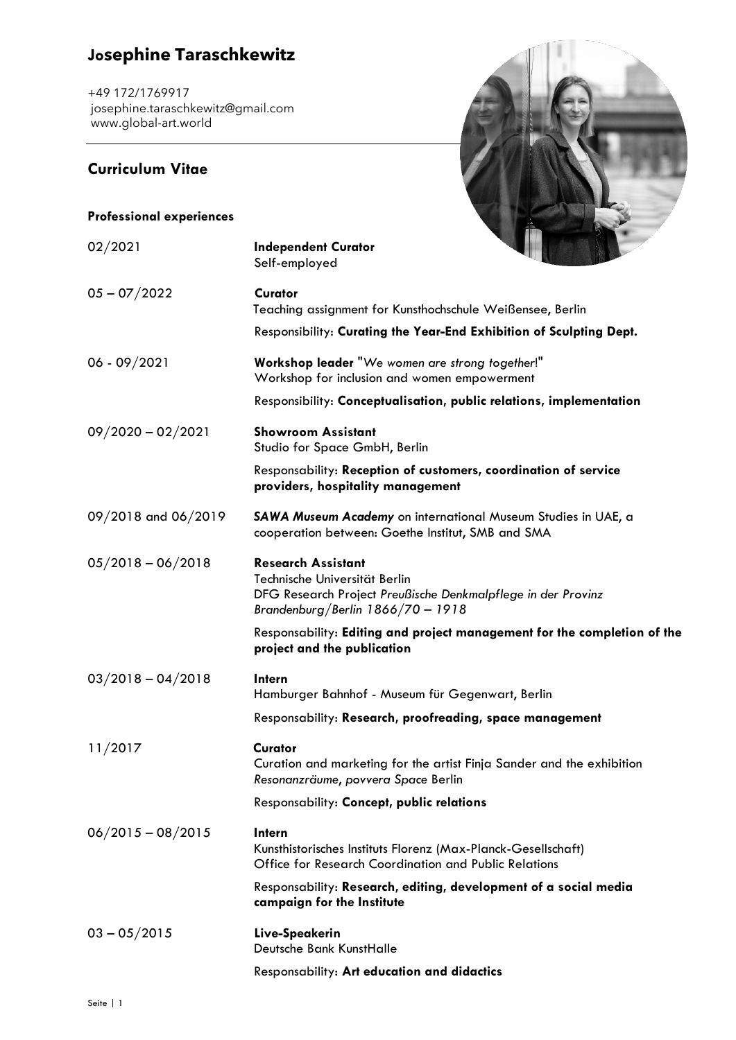## **Josephine Taraschkewitz**

+49 172/1769917 [josephine.taraschkewitz@gmail.com](mailto:josephine.taraschkewitz@gmail.com) [www.global-art.world](http://www.global-art.world/)

### **Curriculum Vitae**



| <b>Professional experiences</b> |                                                                                                                                                                 |
|---------------------------------|-----------------------------------------------------------------------------------------------------------------------------------------------------------------|
| 02/2021                         | <b>Independent Curator</b><br>Self-employed                                                                                                                     |
| $05 - 07/2022$                  | Curator<br>Teaching assignment for Kunsthochschule Weißensee, Berlin                                                                                            |
|                                 | Responsibility: Curating the Year-End Exhibition of Sculpting Dept.                                                                                             |
| $06 - 09/2021$                  | Workshop leader "We women are strong together!"<br>Workshop for inclusion and women empowerment                                                                 |
|                                 | Responsibility: Conceptualisation, public relations, implementation                                                                                             |
| $09/2020 - 02/2021$             | <b>Showroom Assistant</b><br>Studio for Space GmbH, Berlin                                                                                                      |
|                                 | Responsability: Reception of customers, coordination of service<br>providers, hospitality management                                                            |
| 09/2018 and 06/2019             | SAWA Museum Academy on international Museum Studies in UAE, a<br>cooperation between: Goethe Institut, SMB and SMA                                              |
| $05/2018 - 06/2018$             | <b>Research Assistant</b><br>Technische Universität Berlin<br>DFG Research Project Preußische Denkmalpflege in der Provinz<br>Brandenburg/Berlin 1866/70 - 1918 |
|                                 | Responsability: Editing and project management for the completion of the<br>project and the publication                                                         |
| $03/2018 - 04/2018$             | Intern<br>Hamburger Bahnhof - Museum für Gegenwart, Berlin                                                                                                      |
|                                 | Responsability: Research, proofreading, space management                                                                                                        |
| 11/2017                         | Curator<br>Curation and marketing for the artist Finja Sander and the exhibition<br>Resonanzräume, povvera Space Berlin                                         |
|                                 | Responsability: Concept, public relations                                                                                                                       |
| $06/2015 - 08/2015$             | Intern<br>Kunsthistorisches Instituts Florenz (Max-Planck-Gesellschaft)<br>Office for Research Coordination and Public Relations                                |
|                                 | Responsability: Research, editing, development of a social media<br>campaign for the Institute                                                                  |
| $03 - 05/2015$                  | Live-Speakerin<br>Deutsche Bank KunstHalle                                                                                                                      |

Responsability: **Art education and didactics**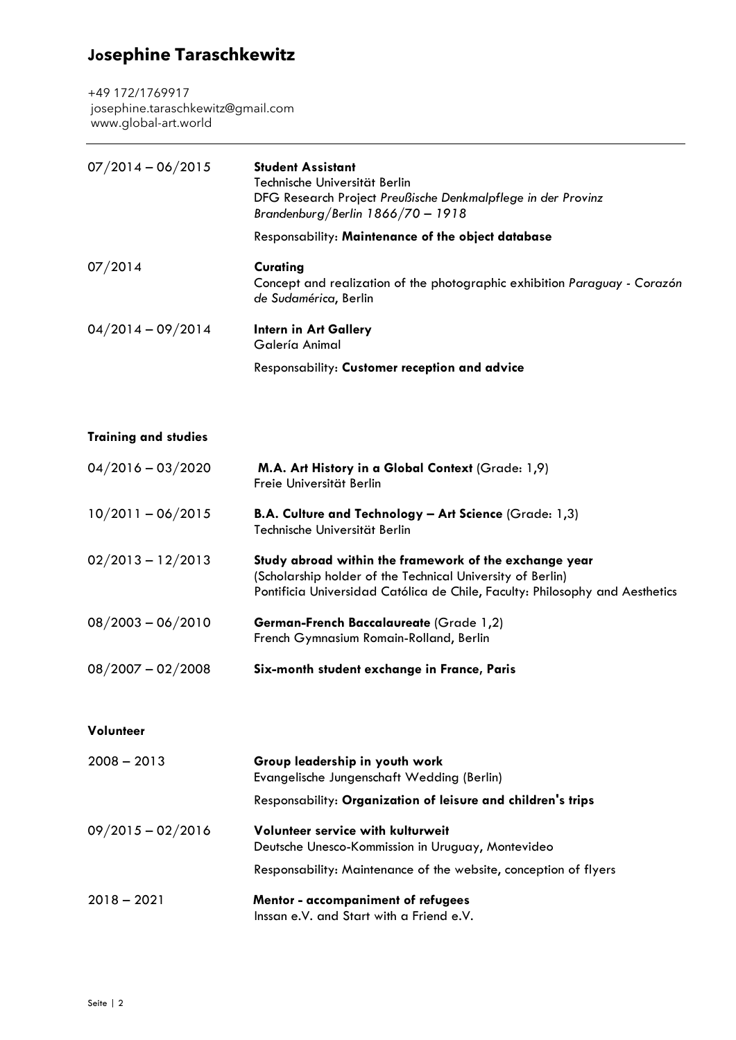# **Josephine Taraschkewitz**

+49 172/1769917 [josephine.taraschkewitz@gmail.com](mailto:josephine.taraschkewitz@gmail.com) [www.global-art.world](http://www.global-art.world/)

| $07/2014 - 06/2015$ | <b>Student Assistant</b><br>Technische Universität Berlin<br>DFG Research Project Preußische Denkmalpflege in der Provinz<br>Brandenburg/Berlin $1866/70 - 1918$ |
|---------------------|------------------------------------------------------------------------------------------------------------------------------------------------------------------|
|                     | Responsability: Maintenance of the object database                                                                                                               |
| 07/2014             | Curating<br>Concept and realization of the photographic exhibition Paraguay - Corazón<br>de Sudamérica, Berlin                                                   |
| $04/2014 - 09/2014$ | Intern in Art Gallery<br>Galería Animal                                                                                                                          |
|                     | Responsability: Customer reception and advice                                                                                                                    |

| <b>Training and studies</b> |  |  |  |
|-----------------------------|--|--|--|
|-----------------------------|--|--|--|

| $04/2016 - 03/2020$ | M.A. Art History in a Global Context (Grade: 1,9)<br>Freie Universität Berlin                                                                                                                        |
|---------------------|------------------------------------------------------------------------------------------------------------------------------------------------------------------------------------------------------|
| $10/2011 - 06/2015$ | <b>B.A. Culture and Technology - Art Science (Grade: 1,3)</b><br>Technische Universität Berlin                                                                                                       |
| $02/2013 - 12/2013$ | Study abroad within the framework of the exchange year<br>(Scholarship holder of the Technical University of Berlin)<br>Pontificia Universidad Católica de Chile, Faculty: Philosophy and Aesthetics |
| $08/2003 - 06/2010$ | <b>German-French Baccalaureate (Grade 1,2)</b><br>French Gymnasium Romain-Rolland, Berlin                                                                                                            |
| $08/2007 - 02/2008$ | Six-month student exchange in France, Paris                                                                                                                                                          |

**Volunteer**

| $2008 - 2013$       | Group leadership in youth work<br>Evangelische Jungenschaft Wedding (Berlin)           |
|---------------------|----------------------------------------------------------------------------------------|
|                     | Responsability: Organization of leisure and children's trips                           |
| $09/2015 - 02/2016$ | Volunteer service with kulturweit<br>Deutsche Unesco-Kommission in Uruguay, Montevideo |
|                     | Responsability: Maintenance of the website, conception of flyers                       |
| $2018 - 2021$       | Mentor - accompaniment of refugees<br>Inssan e.V. and Start with a Friend e.V.         |